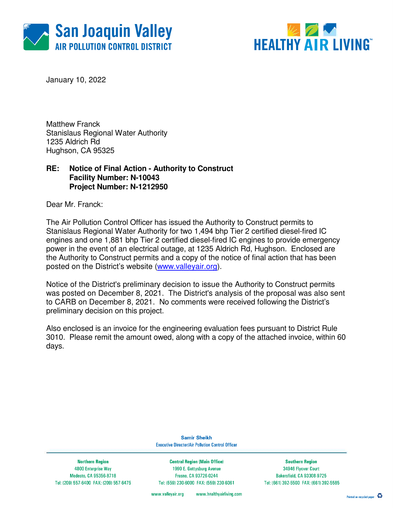



January 10, 2022

Matthew Franck Stanislaus Regional Water Authority 1235 Aldrich Rd Hughson, CA 95325

## **RE: Notice of Final Action - Authority to Construct Facility Number: N-10043 Project Number: N-1212950**

Dear Mr. Franck:

The Air Pollution Control Officer has issued the Authority to Construct permits to Stanislaus Regional Water Authority for two 1,494 bhp Tier 2 certified diesel-fired IC engines and one 1,881 bhp Tier 2 certified diesel-fired IC engines to provide emergency power in the event of an electrical outage, at 1235 Aldrich Rd, Hughson. Enclosed are the Authority to Construct permits and a copy of the notice of final action that has been posted on the District's website (www.valleyair.org).

Notice of the District's preliminary decision to issue the Authority to Construct permits was posted on December 8, 2021. The District's analysis of the proposal was also sent to CARB on December 8, 2021. No comments were received following the District's preliminary decision on this project.

Also enclosed is an invoice for the engineering evaluation fees pursuant to District Rule 3010. Please remit the amount owed, along with a copy of the attached invoice, within 60 days.

> **Samir Sheikh Executive Director/Air Pollution Control Officer**

**Northern Region** 4800 Enterprise Way Modesto, CA 95356-8718 Tel: (209) 557-6400 FAX: (209) 557-6475

**Central Region (Main Office)** 1990 E. Gettysburg Avenue Fresno, CA 93726-0244 Tel: (559) 230-6000 FAX: (559) 230-6061

**Southern Region** 34946 Flyover Court Bakersfield, CA 93308-9725 Tel: (661) 392-5500 FAX: (661) 392-5585

www.healthyairliving.com www.valleyair.org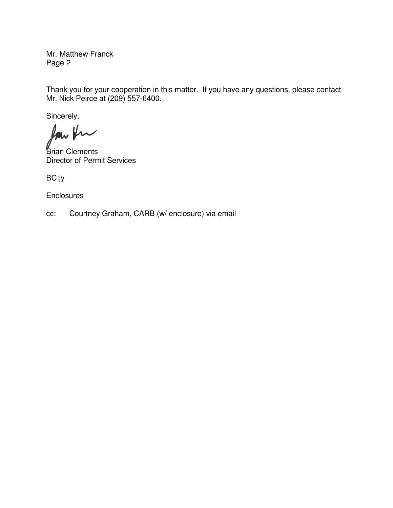Mr. Matthew Franck Page 2

Thank you for your cooperation in this matter. If you have any questions, please contact Mr. Nick Peirce at (209) 557-6400.

Sincerely,

low for

Brian Clements Director of Permit Services

BC:jy

**Enclosures** 

cc: Courtney Graham, CARB (w/ enclosure) via email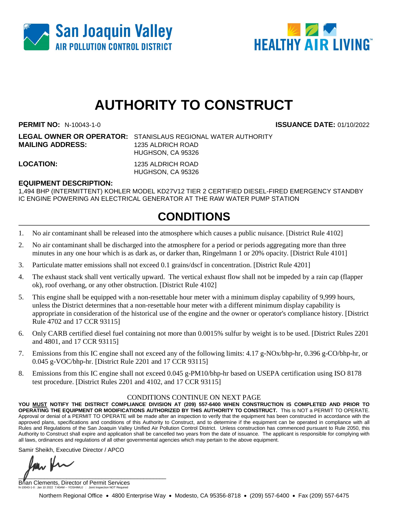



# **AUTHORITY TO CONSTRUCT**

**PERMIT NO:** N-10043-1-0 **ISSUANCE DATE:** 01/10/2022

**LEGAL OWNER OR OPERATOR:** STANISLAUS REGIONAL WATER AUTHORITY **MAILING ADDRESS:** 1235 ALDRICH ROAD HUGHSON, CA 95326

**LOCATION:** 1235 ALDRICH ROAD HUGHSON, CA 95326

### **EQUIPMENT DESCRIPTION:**

1,494 BHP (INTERMITTENT) KOHLER MODEL KD27V12 TIER 2 CERTIFIED DIESEL-FIRED EMERGENCY STANDBY IC ENGINE POWERING AN ELECTRICAL GENERATOR AT THE RAW WATER PUMP STATION

## **CONDITIONS**

- 1. No air contaminant shall be released into the atmosphere which causes a public nuisance. [District Rule 4102]
- 2. No air contaminant shall be discharged into the atmosphere for a period or periods aggregating more than three minutes in any one hour which is as dark as, or darker than, Ringelmann 1 or 20% opacity. [District Rule 4101]
- 3. Particulate matter emissions shall not exceed 0.1 grains/dscf in concentration. [District Rule 4201]
- 4. The exhaust stack shall vent vertically upward. The vertical exhaust flow shall not be impeded by a rain cap (flapper ok), roof overhang, or any other obstruction. [District Rule 4102]
- 5. This engine shall be equipped with a non-resettable hour meter with a minimum display capability of 9,999 hours, unless the District determines that a non-resettable hour meter with a different minimum display capability is appropriate in consideration of the historical use of the engine and the owner or operator's compliance history. [District Rule 4702 and 17 CCR 93115]
- 6. Only CARB certified diesel fuel containing not more than 0.0015% sulfur by weight is to be used. [District Rules 2201 and 4801, and 17 CCR 93115]
- 7. Emissions from this IC engine shall not exceed any of the following limits: 4.17 g-NOx/bhp-hr, 0.396 g-CO/bhp-hr, or 0.045 g-VOC/bhp-hr. [District Rule 2201 and 17 CCR 93115]
- 8. Emissions from this IC engine shall not exceed 0.045 g-PM10/bhp-hr based on USEPA certification using ISO 8178 test procedure. [District Rules 2201 and 4102, and 17 CCR 93115]

#### CONDITIONS CONTINUE ON NEXT PAGE

**YOU MUST NOTIFY THE DISTRICT COMPLIANCE DIVISION AT (209) 557-6400 WHEN CONSTRUCTION IS COMPLETED AND PRIOR TO OPERATING THE EQUIPMENT OR MODIFICATIONS AUTHORIZED BY THIS AUTHORITY TO CONSTRUCT.** This is NOT a PERMIT TO OPERATE. Approval or denial of a PERMIT TO OPERATE will be made after an inspection to verify that the equipment has been constructed in accordance with the approved plans, specifications and conditions of this Authority to Construct, and to determine if the equipment can be operated in compliance with all Rules and Regulations of the San Joaquin Valley Unified Air Pollution Control District. Unless construction has commenced pursuant to Rule 2050, this Authority to Construct shall expire and application shall be cancelled two years from the date of issuance. The applicant is responsible for complying with all laws, ordinances and regulations of all other governmental agencies which may pertain to the above equipment.

Samir Sheikh, Executive Director / APCO

 $\blacksquare$ 

Brian Clements, Director of Permit Services N-10043-1-0 : Jan 10 2022 7:40AM -- YOSHIMUJ : Joint Inspection NOT Required

Northern Regional Office • 4800 Enterprise Way • Modesto, CA 95356-8718 • (209) 557-6400 • Fax (209) 557-6475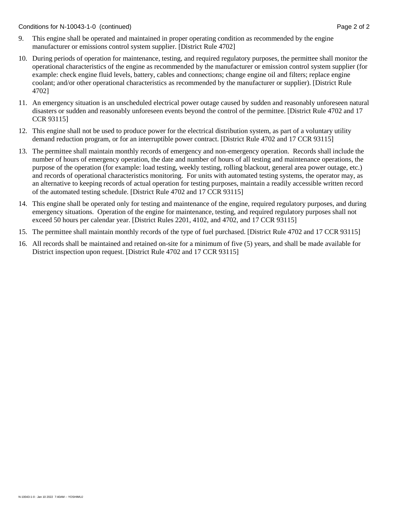Conditions for N-10043-1-0 (continued) Page 2 of 2

- 9. This engine shall be operated and maintained in proper operating condition as recommended by the engine manufacturer or emissions control system supplier. [District Rule 4702]
- 10. During periods of operation for maintenance, testing, and required regulatory purposes, the permittee shall monitor the operational characteristics of the engine as recommended by the manufacturer or emission control system supplier (for example: check engine fluid levels, battery, cables and connections; change engine oil and filters; replace engine coolant; and/or other operational characteristics as recommended by the manufacturer or supplier). [District Rule 4702]
- 11. An emergency situation is an unscheduled electrical power outage caused by sudden and reasonably unforeseen natural disasters or sudden and reasonably unforeseen events beyond the control of the permittee. [District Rule 4702 and 17 CCR 93115]
- 12. This engine shall not be used to produce power for the electrical distribution system, as part of a voluntary utility demand reduction program, or for an interruptible power contract. [District Rule 4702 and 17 CCR 93115]
- 13. The permittee shall maintain monthly records of emergency and non-emergency operation. Records shall include the number of hours of emergency operation, the date and number of hours of all testing and maintenance operations, the purpose of the operation (for example: load testing, weekly testing, rolling blackout, general area power outage, etc.) and records of operational characteristics monitoring. For units with automated testing systems, the operator may, as an alternative to keeping records of actual operation for testing purposes, maintain a readily accessible written record of the automated testing schedule. [District Rule 4702 and 17 CCR 93115]
- 14. This engine shall be operated only for testing and maintenance of the engine, required regulatory purposes, and during emergency situations. Operation of the engine for maintenance, testing, and required regulatory purposes shall not exceed 50 hours per calendar year. [District Rules 2201, 4102, and 4702, and 17 CCR 93115]
- 15. The permittee shall maintain monthly records of the type of fuel purchased. [District Rule 4702 and 17 CCR 93115]
- 16. All records shall be maintained and retained on-site for a minimum of five (5) years, and shall be made available for District inspection upon request. [District Rule 4702 and 17 CCR 93115]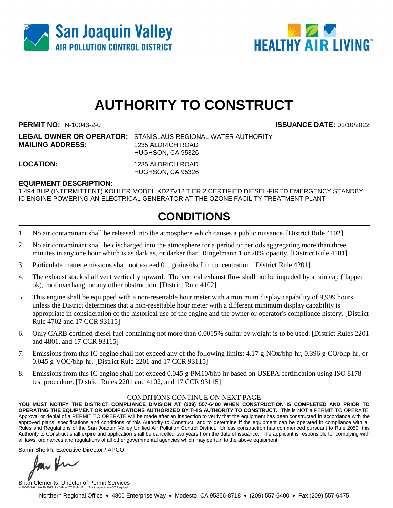



# **AUTHORITY TO CONSTRUCT**

**PERMIT NO:** N-10043-2-0 **ISSUANCE DATE:** 01/10/2022

**LEGAL OWNER OR OPERATOR:** STANISLAUS REGIONAL WATER AUTHORITY **MAILING ADDRESS:** 1235 ALDRICH ROAD HUGHSON, CA 95326

**LOCATION:** 1235 ALDRICH ROAD HUGHSON, CA 95326

### **EQUIPMENT DESCRIPTION:**

1,494 BHP (INTERMITTENT) KOHLER MODEL KD27V12 TIER 2 CERTIFIED DIESEL-FIRED EMERGENCY STANDBY IC ENGINE POWERING AN ELECTRICAL GENERATOR AT THE OZONE FACILITY TREATMENT PLANT

## **CONDITIONS**

- 1. No air contaminant shall be released into the atmosphere which causes a public nuisance. [District Rule 4102]
- 2. No air contaminant shall be discharged into the atmosphere for a period or periods aggregating more than three minutes in any one hour which is as dark as, or darker than, Ringelmann 1 or 20% opacity. [District Rule 4101]
- 3. Particulate matter emissions shall not exceed 0.1 grains/dscf in concentration. [District Rule 4201]
- 4. The exhaust stack shall vent vertically upward. The vertical exhaust flow shall not be impeded by a rain cap (flapper ok), roof overhang, or any other obstruction. [District Rule 4102]
- 5. This engine shall be equipped with a non-resettable hour meter with a minimum display capability of 9,999 hours, unless the District determines that a non-resettable hour meter with a different minimum display capability is appropriate in consideration of the historical use of the engine and the owner or operator's compliance history. [District Rule 4702 and 17 CCR 93115]
- 6. Only CARB certified diesel fuel containing not more than 0.0015% sulfur by weight is to be used. [District Rules 2201 and 4801, and 17 CCR 93115]
- 7. Emissions from this IC engine shall not exceed any of the following limits: 4.17 g-NOx/bhp-hr, 0.396 g-CO/bhp-hr, or 0.045 g-VOC/bhp-hr. [District Rule 2201 and 17 CCR 93115]
- 8. Emissions from this IC engine shall not exceed 0.045 g-PM10/bhp-hr based on USEPA certification using ISO 8178 test procedure. [District Rules 2201 and 4102, and 17 CCR 93115]

#### CONDITIONS CONTINUE ON NEXT PAGE

**YOU MUST NOTIFY THE DISTRICT COMPLIANCE DIVISION AT (209) 557-6400 WHEN CONSTRUCTION IS COMPLETED AND PRIOR TO OPERATING THE EQUIPMENT OR MODIFICATIONS AUTHORIZED BY THIS AUTHORITY TO CONSTRUCT.** This is NOT a PERMIT TO OPERATE. Approval or denial of a PERMIT TO OPERATE will be made after an inspection to verify that the equipment has been constructed in accordance with the approved plans, specifications and conditions of this Authority to Construct, and to determine if the equipment can be operated in compliance with all Rules and Regulations of the San Joaquin Valley Unified Air Pollution Control District. Unless construction has commenced pursuant to Rule 2050, this Authority to Construct shall expire and application shall be cancelled two years from the date of issuance. The applicant is responsible for complying with all laws, ordinances and regulations of all other governmental agencies which may pertain to the above equipment.

Samir Sheikh, Executive Director / APCO

 $\blacksquare$ 

Brian Clements, Director of Permit Services N-10043-2-0 : Jan 10 2022 7:40AM -- YOSHIMUJ : Joint Inspection NOT Required

Northern Regional Office • 4800 Enterprise Way • Modesto, CA 95356-8718 • (209) 557-6400 • Fax (209) 557-6475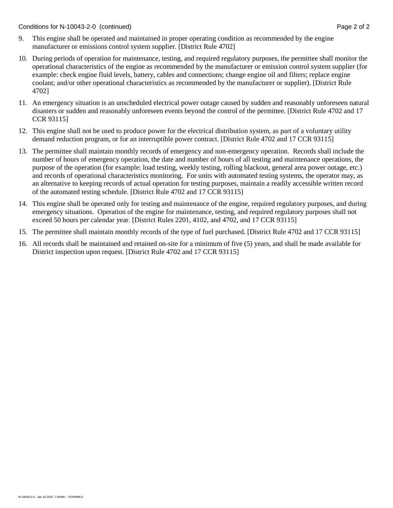Conditions for N-10043-2-0 (continued) Page 2 of 2

- 9. This engine shall be operated and maintained in proper operating condition as recommended by the engine manufacturer or emissions control system supplier. [District Rule 4702]
- 10. During periods of operation for maintenance, testing, and required regulatory purposes, the permittee shall monitor the operational characteristics of the engine as recommended by the manufacturer or emission control system supplier (for example: check engine fluid levels, battery, cables and connections; change engine oil and filters; replace engine coolant; and/or other operational characteristics as recommended by the manufacturer or supplier). [District Rule 4702]
- 11. An emergency situation is an unscheduled electrical power outage caused by sudden and reasonably unforeseen natural disasters or sudden and reasonably unforeseen events beyond the control of the permittee. [District Rule 4702 and 17 CCR 93115]
- 12. This engine shall not be used to produce power for the electrical distribution system, as part of a voluntary utility demand reduction program, or for an interruptible power contract. [District Rule 4702 and 17 CCR 93115]
- 13. The permittee shall maintain monthly records of emergency and non-emergency operation. Records shall include the number of hours of emergency operation, the date and number of hours of all testing and maintenance operations, the purpose of the operation (for example: load testing, weekly testing, rolling blackout, general area power outage, etc.) and records of operational characteristics monitoring. For units with automated testing systems, the operator may, as an alternative to keeping records of actual operation for testing purposes, maintain a readily accessible written record of the automated testing schedule. [District Rule 4702 and 17 CCR 93115]
- 14. This engine shall be operated only for testing and maintenance of the engine, required regulatory purposes, and during emergency situations. Operation of the engine for maintenance, testing, and required regulatory purposes shall not exceed 50 hours per calendar year. [District Rules 2201, 4102, and 4702, and 17 CCR 93115]
- 15. The permittee shall maintain monthly records of the type of fuel purchased. [District Rule 4702 and 17 CCR 93115]
- 16. All records shall be maintained and retained on-site for a minimum of five (5) years, and shall be made available for District inspection upon request. [District Rule 4702 and 17 CCR 93115]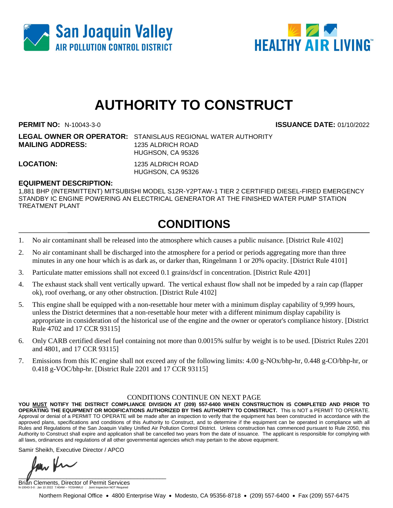



# **AUTHORITY TO CONSTRUCT**

**PERMIT NO:** N-10043-3-0 **ISSUANCE DATE:** 01/10/2022

**LEGAL OWNER OR OPERATOR:** STANISLAUS REGIONAL WATER AUTHORITY **MAILING ADDRESS:** 1235 ALDRICH ROAD HUGHSON, CA 95326

**LOCATION:** 1235 ALDRICH ROAD HUGHSON, CA 95326

### **EQUIPMENT DESCRIPTION:**

1,881 BHP (INTERMITTENT) MITSUBISHI MODEL S12R-Y2PTAW-1 TIER 2 CERTIFIED DIESEL-FIRED EMERGENCY STANDBY IC ENGINE POWERING AN ELECTRICAL GENERATOR AT THE FINISHED WATER PUMP STATION TREATMENT PLANT

# **CONDITIONS**

- 1. No air contaminant shall be released into the atmosphere which causes a public nuisance. [District Rule 4102]
- 2. No air contaminant shall be discharged into the atmosphere for a period or periods aggregating more than three minutes in any one hour which is as dark as, or darker than, Ringelmann 1 or 20% opacity. [District Rule 4101]
- 3. Particulate matter emissions shall not exceed 0.1 grains/dscf in concentration. [District Rule 4201]
- 4. The exhaust stack shall vent vertically upward. The vertical exhaust flow shall not be impeded by a rain cap (flapper ok), roof overhang, or any other obstruction. [District Rule 4102]
- 5. This engine shall be equipped with a non-resettable hour meter with a minimum display capability of 9,999 hours, unless the District determines that a non-resettable hour meter with a different minimum display capability is appropriate in consideration of the historical use of the engine and the owner or operator's compliance history. [District Rule 4702 and 17 CCR 93115]
- 6. Only CARB certified diesel fuel containing not more than 0.0015% sulfur by weight is to be used. [District Rules 2201 and 4801, and 17 CCR 93115]
- 7. Emissions from this IC engine shall not exceed any of the following limits: 4.00 g-NOx/bhp-hr, 0.448 g-CO/bhp-hr, or 0.418 g-VOC/bhp-hr. [District Rule 2201 and 17 CCR 93115]

#### CONDITIONS CONTINUE ON NEXT PAGE

**YOU MUST NOTIFY THE DISTRICT COMPLIANCE DIVISION AT (209) 557-6400 WHEN CONSTRUCTION IS COMPLETED AND PRIOR TO OPERATING THE EQUIPMENT OR MODIFICATIONS AUTHORIZED BY THIS AUTHORITY TO CONSTRUCT.** This is NOT a PERMIT TO OPERATE. Approval or denial of a PERMIT TO OPERATE will be made after an inspection to verify that the equipment has been constructed in accordance with the approved plans, specifications and conditions of this Authority to Construct, and to determine if the equipment can be operated in compliance with all Rules and Regulations of the San Joaquin Valley Unified Air Pollution Control District. Unless construction has commenced pursuant to Rule 2050, this Authority to Construct shall expire and application shall be cancelled two years from the date of issuance. The applicant is responsible for complying with all laws, ordinances and regulations of all other governmental agencies which may pertain to the above equipment.

Samir Sheikh, Executive Director / APCO

 $\blacksquare$ 

Brian Clements, Director of Permit Services N-10043-3-0 : Jan 10 2022 7:40AM -- YOSHIMUJ : Joint Inspection NOT Required

Northern Regional Office • 4800 Enterprise Way • Modesto, CA 95356-8718 • (209) 557-6400 • Fax (209) 557-6475